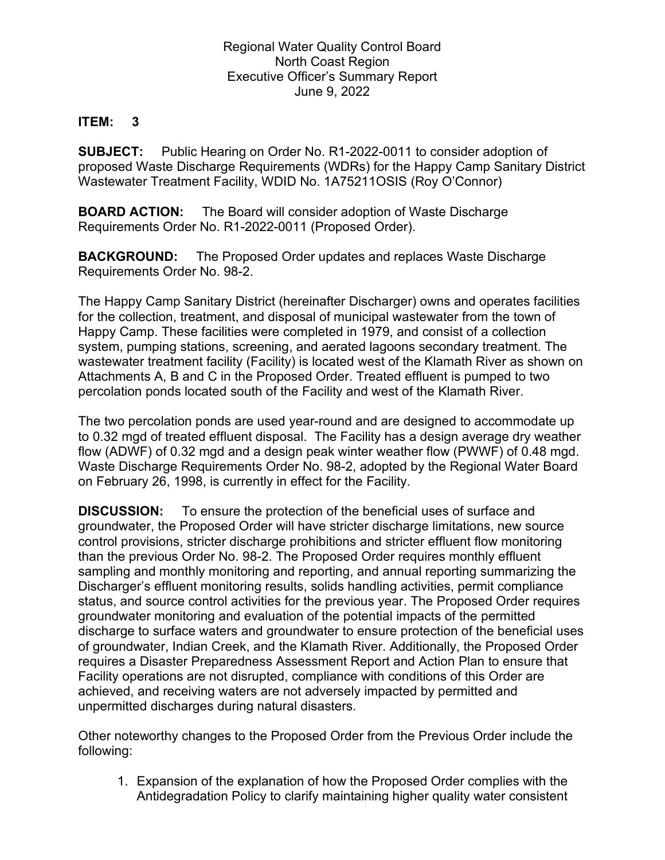Regional Water Quality Control Board North Coast Region Executive Officer's Summary Report June 9, 2022

## **ITEM: 3**

**SUBJECT:** Public Hearing on Order No. R1-2022-0011 to consider adoption of proposed Waste Discharge Requirements (WDRs) for the Happy Camp Sanitary District Wastewater Treatment Facility, WDID No. 1A75211OSIS (Roy O'Connor)

**BOARD ACTION:** The Board will consider adoption of Waste Discharge Requirements Order No. R1-2022-0011 (Proposed Order).

**BACKGROUND:** The Proposed Order updates and replaces Waste Discharge Requirements Order No. 98-2.

The Happy Camp Sanitary District (hereinafter Discharger) owns and operates facilities for the collection, treatment, and disposal of municipal wastewater from the town of Happy Camp. These facilities were completed in 1979, and consist of a collection system, pumping stations, screening, and aerated lagoons secondary treatment. The wastewater treatment facility (Facility) is located west of the Klamath River as shown on Attachments A, B and C in the Proposed Order. Treated effluent is pumped to two percolation ponds located south of the Facility and west of the Klamath River.

The two percolation ponds are used year-round and are designed to accommodate up to 0.32 mgd of treated effluent disposal. The Facility has a design average dry weather flow (ADWF) of 0.32 mgd and a design peak winter weather flow (PWWF) of 0.48 mgd. Waste Discharge Requirements Order No. 98-2, adopted by the Regional Water Board on February 26, 1998, is currently in effect for the Facility.

**DISCUSSION:** To ensure the protection of the beneficial uses of surface and groundwater, the Proposed Order will have stricter discharge limitations, new source control provisions, stricter discharge prohibitions and stricter effluent flow monitoring than the previous Order No. 98-2. The Proposed Order requires monthly effluent sampling and monthly monitoring and reporting, and annual reporting summarizing the Discharger's effluent monitoring results, solids handling activities, permit compliance status, and source control activities for the previous year. The Proposed Order requires groundwater monitoring and evaluation of the potential impacts of the permitted discharge to surface waters and groundwater to ensure protection of the beneficial uses of groundwater, Indian Creek, and the Klamath River. Additionally, the Proposed Order requires a Disaster Preparedness Assessment Report and Action Plan to ensure that Facility operations are not disrupted, compliance with conditions of this Order are achieved, and receiving waters are not adversely impacted by permitted and unpermitted discharges during natural disasters.

Other noteworthy changes to the Proposed Order from the Previous Order include the following:

1. Expansion of the explanation of how the Proposed Order complies with the Antidegradation Policy to clarify maintaining higher quality water consistent